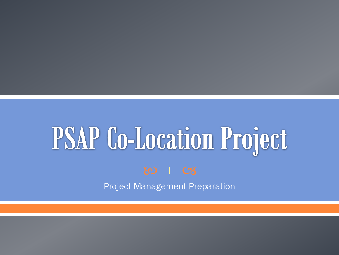# **PSAP Co-Location Project**



Project Management Preparation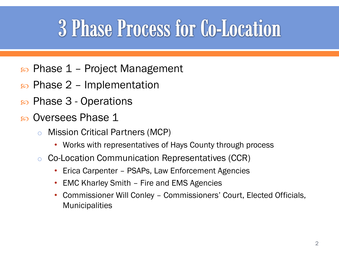#### **3 Phase Process for Co-Location**

- Phase 1 Project Management
- $\infty$  Phase 2 Implementation
- Phase 3 Operations
- Oversees Phase 1
	- o Mission Critical Partners (MCP)
		- Works with representatives of Hays County through process
	- o Co-Location Communication Representatives (CCR)
		- Erica Carpenter PSAPs, Law Enforcement Agencies
		- EMC Kharley Smith Fire and EMS Agencies
		- Commissioner Will Conley Commissioners' Court, Elected Officials, **Municipalities**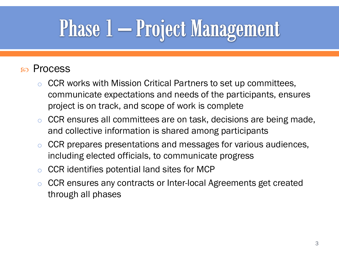## **Phase 1 – Project Management**

#### Process

- CCR works with Mission Critical Partners to set up committees, communicate expectations and needs of the participants, ensures project is on track, and scope of work is complete
- o CCR ensures all committees are on task, decisions are being made, and collective information is shared among participants
- o CCR prepares presentations and messages for various audiences, including elected officials, to communicate progress
- o CCR identifies potential land sites for MCP
- o CCR ensures any contracts or Inter-local Agreements get created through all phases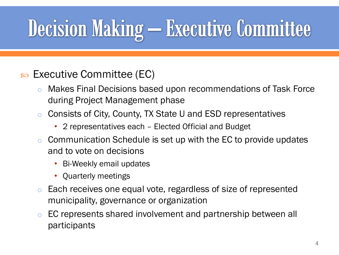### **Decision Making - Executive Committee**

#### Executive Committee (EC)

- o Makes Final Decisions based upon recommendations of Task Force during Project Management phase
- o Consists of City, County, TX State U and ESD representatives
	- 2 representatives each Elected Official and Budget
- $\circ$  Communication Schedule is set up with the EC to provide updates and to vote on decisions
	- Bi-Weekly email updates
	- Quarterly meetings
- o Each receives one equal vote, regardless of size of represented municipality, governance or organization
- o EC represents shared involvement and partnership between all participants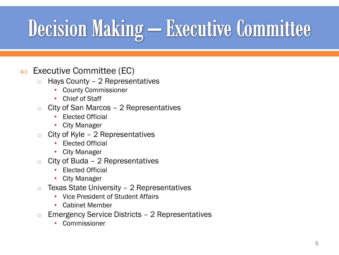### **Decision Making - Executive Committee**

- $\infty$  Executive Committee (EC)
	- $\circ$  Hays County 2 Representatives
		- County Commissioner
		- Chief of Staff
	- o City of San Marcos 2 Representatives
		- Elected Official
		- City Manager
	- $\circ$  City of Kyle 2 Representatives
		- Elected Official
		- City Manager
	- $\circ$  City of Buda 2 Representatives
		- Elected Official
		- City Manager
	- $\circ$  Texas State University 2 Representatives
		- Vice President of Student Affairs
		- Cabinet Member
	- o Emergency Service Districts 2 Representatives
		- **Commissioner**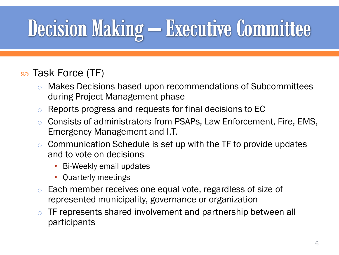## **Decision Making - Executive Committee**

#### so Task Force (TF)

- o Makes Decisions based upon recommendations of Subcommittees during Project Management phase
- o Reports progress and requests for final decisions to EC
- Consists of administrators from PSAPs, Law Enforcement, Fire, EMS, Emergency Management and I.T.
- $\circ$  Communication Schedule is set up with the TF to provide updates and to vote on decisions
	- Bi-Weekly email updates
	- Quarterly meetings
- o Each member receives one equal vote, regardless of size of represented municipality, governance or organization
- o TF represents shared involvement and partnership between all participants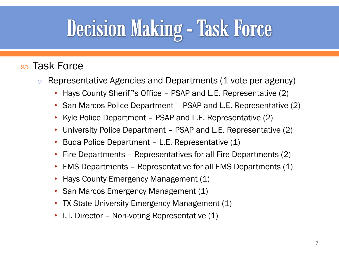### **Decision Making - Task Force**

#### Task Force

- o Representative Agencies and Departments (1 vote per agency)
	- Hays County Sheriff's Office PSAP and L.E. Representative (2)
	- San Marcos Police Department PSAP and L.E. Representative (2)
	- Kyle Police Department PSAP and L.E. Representative (2)
	- University Police Department PSAP and L.E. Representative (2)
	- Buda Police Department L.E. Representative (1)
	- Fire Departments Representatives for all Fire Departments (2)
	- EMS Departments Representative for all EMS Departments (1)
	- Hays County Emergency Management (1)
	- San Marcos Emergency Management (1)
	- TX State University Emergency Management (1)
	- I.T. Director Non-voting Representative (1)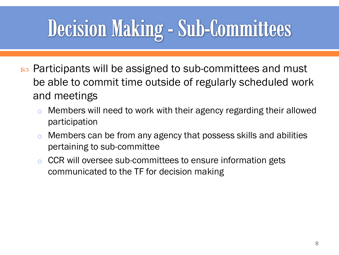#### Decision Making - Sub-Committees

- s Participants will be assigned to sub-committees and must be able to commit time outside of regularly scheduled work and meetings
	- o Members will need to work with their agency regarding their allowed participation
	- o Members can be from any agency that possess skills and abilities pertaining to sub-committee
	- o CCR will oversee sub-committees to ensure information gets communicated to the TF for decision making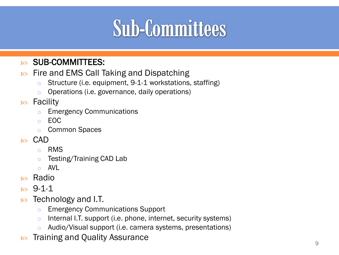#### so SUB-COMMITTEES:

- **EXECUTE:** Fire and EMS Call Taking and Dispatching
	- o Structure (i.e. equipment, 9-1-1 workstations, staffing)
	- o Operations (i.e. governance, daily operations)
- <sub>so</sub> Facility
	- o Emergency Communications
	- o EOC
	- o Common Spaces
- <sub>80</sub> CAD
	- o RMS
	- o Testing/Training CAD Lab
	- $\circ$  AVI
- so Radio
- $9 1 1$
- $\infty$  Technology and I.T.
	- o Emergency Communications Support
	- o Internal I.T. support (i.e. phone, internet, security systems)
	- o Audio/Visual support (i.e. camera systems, presentations)
- **EXECUTE:** Training and Quality Assurance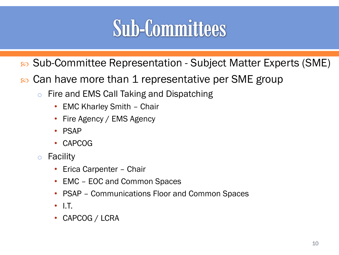- Sub-Committee Representation Subject Matter Experts (SME)
- s Can have more than 1 representative per SME group
	- o Fire and EMS Call Taking and Dispatching
		- EMC Kharley Smith Chair
		- Fire Agency / EMS Agency
		- PSAP
		- CAPCOG
	- o Facility
		- Erica Carpenter Chair
		- EMC EOC and Common Spaces
		- PSAP Communications Floor and Common Spaces
		- I.T.
		- CAPCOG / LCRA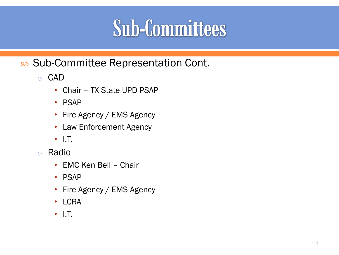so Sub-Committee Representation Cont.

o CAD

- Chair TX State UPD PSAP
- PSAP
- Fire Agency / EMS Agency
- Law Enforcement Agency
- I.T.
- o Radio
	- EMC Ken Bell Chair
	- PSAP
	- Fire Agency / EMS Agency
	- LCRA
	- I.T.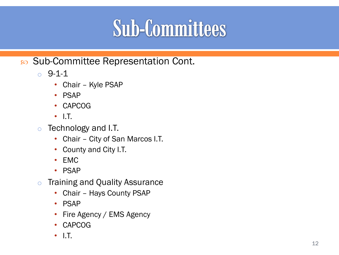- Sub -Committee Representation Cont.
	- $0 9 1 1$ 
		- Chair Kyle PSAP
		- PSAP
		- CAPCOG
		- I.T.
	- o Technology and I.T.
		- Chair City of San Marcos I.T.
		- County and City I.T.
		- EMC
		- PSAP
	- o Training and Quality Assurance
		- Chair Hays County PSAP
		- PSAP
		- Fire Agency / EMS Agency
		- CAPCOG
		- I.T.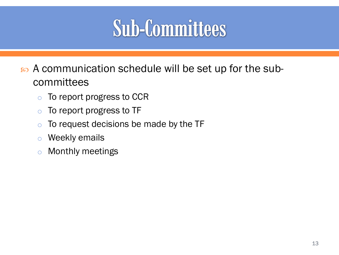A communication schedule will be set up for the subcommittees

- o To report progress to CCR
- o To report progress to TF
- $\circ$  To request decisions be made by the TF
- o Weekly emails
- o Monthly meetings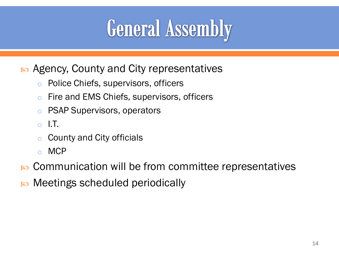#### **General Assembly**

- so Agency, County and City representatives
	- o Police Chiefs, supervisors, officers
	- o Fire and EMS Chiefs, supervisors, officers
	- o PSAP Supervisors, operators
	- $\circ$  I.T.
	- County and City officials
	- o MCP
- so Communication will be from committee representatives
- s Meetings scheduled periodically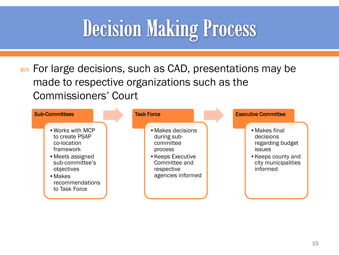#### **Decision Making Process**

so For large decisions, such as CAD, presentations may be made to respective organizations such as the Commissioners' Court

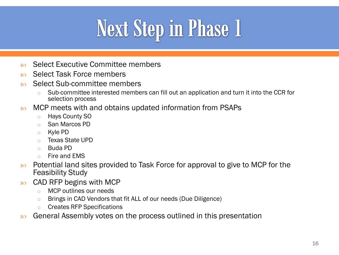### **Next Step in Phase 1**

- so Select Executive Committee members
- s Select Task Force members
- Select Sub-committee members
	- o Sub-committee interested members can fill out an application and turn it into the CCR for selection process
- **EXECUTE:** MCP meets with and obtains updated information from PSAPs
	- o Hays County SO
	- o San Marcos PD
	- o Kyle PD
	- o Texas State UPD
	- o Buda PD
	- o Fire and EMS
- **EXECUTE:** Potential land sites provided to Task Force for approval to give to MCP for the Feasibility Study
- $\infty$  CAD RFP begins with MCP
	- o MCP outlines our needs
	- o Brings in CAD Vendors that fit ALL of our needs (Due Diligence)
	- o Creates RFP Specifications
- **So** General Assembly votes on the process outlined in this presentation